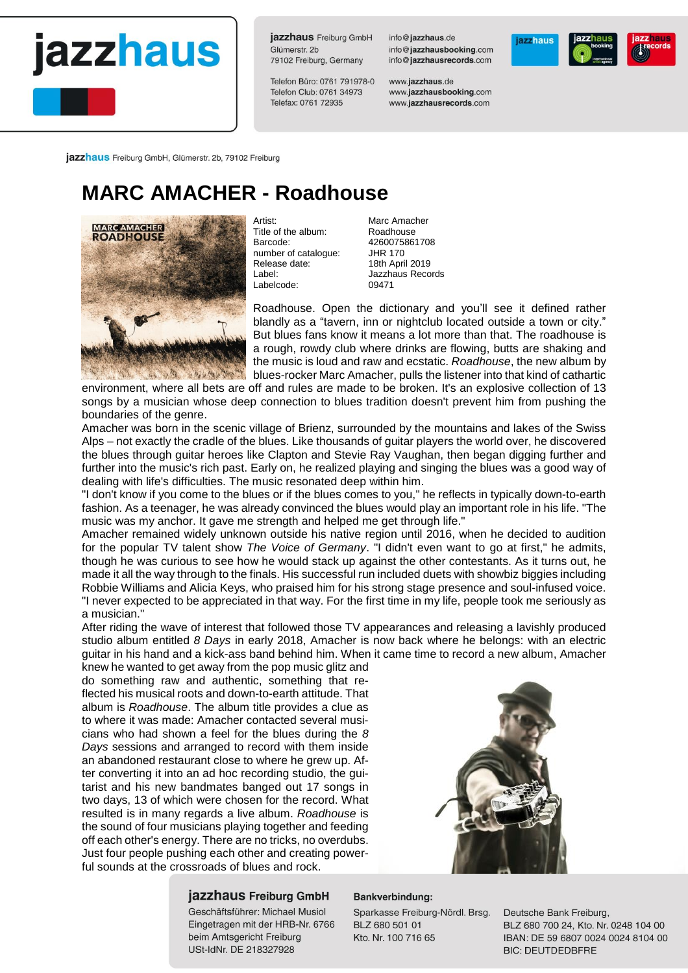## jazzhaus

jazzhaus Freiburg GmbH Glümerstr, 2b 79102 Freiburg, Germany

Telefon Büro: 0761 791978-0 Telefon Club: 0761 34973 Telefax: 0761 72935

info@jazzhaus.de info@iazzhausbooking.com info@jazzhausrecords.com

www.jazzhaus.de www.jazzhausbooking.com www.jazzhausrecords.com



jazzhaus Freiburg GmbH, Glümerstr. 2b, 79102 Freiburg

### **MARC AMACHER - Roadhouse**



Artist: Marc Amacher<br>Title of the album: Roadhouse Title of the album:<br>Barcode: number of catalogue: JHR 170<br>Release date: 18th April 2019 Release date:<br>Label: Labelcode:

4260075861708<br>JHR 170 Jazzhaus Records<br>09471

Roadhouse. Open the dictionary and you'll see it defined rather blandly as a "tavern, inn or nightclub located outside a town or city." But blues fans know it means a lot more than that. The roadhouse is a rough, rowdy club where drinks are flowing, butts are shaking and the music is loud and raw and ecstatic. *Roadhouse*, the new album by blues-rocker Marc Amacher, pulls the listener into that kind of cathartic

environment, where all bets are off and rules are made to be broken. It's an explosive collection of 13 songs by a musician whose deep connection to blues tradition doesn't prevent him from pushing the boundaries of the genre.

Amacher was born in the scenic village of Brienz, surrounded by the mountains and lakes of the Swiss Alps – not exactly the cradle of the blues. Like thousands of guitar players the world over, he discovered the blues through guitar heroes like Clapton and Stevie Ray Vaughan, then began digging further and further into the music's rich past. Early on, he realized playing and singing the blues was a good way of dealing with life's difficulties. The music resonated deep within him.

"I don't know if you come to the blues or if the blues comes to you," he reflects in typically down-to-earth fashion. As a teenager, he was already convinced the blues would play an important role in his life. "The music was my anchor. It gave me strength and helped me get through life."

Amacher remained widely unknown outside his native region until 2016, when he decided to audition for the popular TV talent show *The Voice of Germany*. "I didn't even want to go at first," he admits, though he was curious to see how he would stack up against the other contestants. As it turns out, he made it all the way through to the finals. His successful run included duets with showbiz biggies including Robbie Williams and Alicia Keys, who praised him for his strong stage presence and soul-infused voice. "I never expected to be appreciated in that way. For the first time in my life, people took me seriously as a musician."

After riding the wave of interest that followed those TV appearances and releasing a lavishly produced studio album entitled *8 Days* in early 2018, Amacher is now back where he belongs: with an electric guitar in his hand and a kick-ass band behind him. When it came time to record a new album, Amacher

knew he wanted to get away from the pop music glitz and do something raw and authentic, something that reflected his musical roots and down-to-earth attitude. That album is *Roadhouse*. The album title provides a clue as to where it was made: Amacher contacted several musicians who had shown a feel for the blues during the *8 Days* sessions and arranged to record with them inside an abandoned restaurant close to where he grew up. After converting it into an ad hoc recording studio, the guitarist and his new bandmates banged out 17 songs in two days, 13 of which were chosen for the record. What resulted is in many regards a live album. *Roadhouse* is the sound of four musicians playing together and feeding off each other's energy. There are no tricks, no overdubs. Just four people pushing each other and creating powerful sounds at the crossroads of blues and rock.



#### jazzhaus Freiburg GmbH

Geschäftsführer: Michael Musiol Eingetragen mit der HRB-Nr. 6766 beim Amtsgericht Freiburg USt-IdNr. DE 218327928

#### Bankverbindung:

Sparkasse Freiburg-Nördl. Brsg. BLZ 680 501 01 Kto. Nr. 100 716 65

Deutsche Bank Freiburg, BLZ 680 700 24, Kto, Nr. 0248 104 00 IBAN: DE 59 6807 0024 0024 8104 00 **BIC: DEUTDEDBFRE**